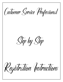Customer Service Professional

Step by Step

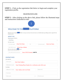**STEP 1** – Click on the registration link below to begin and complete your registration profile.

# [REGISTRATION LINK](https://register.arise.com/)

**STEP 2** – After clicking on the above link, please follow the illustrated steps and instructions (indicated in red):



**WELCOME TO THE PLATFORM!** 

Work from home using the Platform to be your own boss. Earn extra income on a flexible basis by providing customer support for the brands you love.

### **ABOUT YOU**

| Select Your Country of Residence<br>Country (required) |                         |                       |                             |                      |                        |
|--------------------------------------------------------|-------------------------|-----------------------|-----------------------------|----------------------|------------------------|
| <b>United States</b>                                   |                         |                       |                             |                      | $\checkmark$           |
| <b>Tell Us About Yourself</b>                          |                         |                       |                             |                      |                        |
| First name (required)                                  | <b>Enter First Name</b> |                       | MI                          | Last name (required) | <b>Enter Last Name</b> |
| Date of birth (required)                               |                         | (Enter Date of Birth) |                             |                      |                        |
| Did someone tell you about the                         | Platform?               |                       |                             |                      |                        |
| If yes, let us know so we can thank them!              |                         |                       |                             |                      |                        |
| Enter referral code if you have one                    |                         |                       | Enter CSP ID Number 1480799 |                      |                        |

# **CONTACT INFO**

|  |  | How to Reach You |  |
|--|--|------------------|--|
|--|--|------------------|--|

| Email (required)          | <b>Enter Email Address</b>                                       |              |                     |
|---------------------------|------------------------------------------------------------------|--------------|---------------------|
| Mobile phone (required)   | Enter Working Phone Number for a verification code will be sent. |              |                     |
| <b>Your Address</b>       |                                                                  |              |                     |
| Address line 1 (required) | Enter Address info for all fields                                |              | Address line 2      |
| City (required)           |                                                                  |              |                     |
| State (required)          |                                                                  | $\checkmark$ | ZIP code (required) |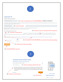

### **LOGIN SET UP**

| <b>Create Your Username and Password</b>                                                                                                                                                                          |                         |                                                                                                                                                                                                                                                                                                                                                                                                                                                                                       |                                         |      |                                                                                                                                                                                  |
|-------------------------------------------------------------------------------------------------------------------------------------------------------------------------------------------------------------------|-------------------------|---------------------------------------------------------------------------------------------------------------------------------------------------------------------------------------------------------------------------------------------------------------------------------------------------------------------------------------------------------------------------------------------------------------------------------------------------------------------------------------|-----------------------------------------|------|----------------------------------------------------------------------------------------------------------------------------------------------------------------------------------|
| Username (required)                                                                                                                                                                                               |                         |                                                                                                                                                                                                                                                                                                                                                                                                                                                                                       |                                         |      | 2A. Create a Username that you will REMEMBER & WRITE IT DOWN!!!                                                                                                                  |
| you will be prompted to select a different username.                                                                                                                                                              |                         |                                                                                                                                                                                                                                                                                                                                                                                                                                                                                       |                                         |      | Your username must begin with a letter and may contain a combination of letters and numbers. Please choose a name that is business appropriate. If the name you enter is in use, |
| Password (required)                                                                                                                                                                                               |                         | 2B. Create a Password                                                                                                                                                                                                                                                                                                                                                                                                                                                                 |                                         |      |                                                                                                                                                                                  |
| Requires at least 3 of the following: a-z (lowercase)   A-Z (uppercase)   0-9 (numbers)   special characters (@, #, \$)<br>Plus: 8 characters or more I can't contain first or last name I can't contain username |                         |                                                                                                                                                                                                                                                                                                                                                                                                                                                                                       |                                         |      |                                                                                                                                                                                  |
| Sign NDA and Agree to Terms of Service                                                                                                                                                                            |                         |                                                                                                                                                                                                                                                                                                                                                                                                                                                                                       |                                         |      | 2D. Click here to review and sign the NDA Agreement                                                                                                                              |
|                                                                                                                                                                                                                   |                         |                                                                                                                                                                                                                                                                                                                                                                                                                                                                                       |                                         |      | 2C. Click here to check the box agreement to not disclose information related to Arise® or any clients (including the client's                                                   |
| box.                                                                                                                                                                                                              |                         |                                                                                                                                                                                                                                                                                                                                                                                                                                                                                       |                                         |      | customers) to third parties. By checking the box, you agree to comply with the terms of the NDA. Click Here to read the NDA before checking the                                  |
| As registering, you agree to the Terms of Use, Acceptable Use, Systems & Equipment Policy, and Privacy Policy (including cookie use).                                                                             |                         |                                                                                                                                                                                                                                                                                                                                                                                                                                                                                       |                                         |      |                                                                                                                                                                                  |
| I'm not a robot                                                                                                                                                                                                   |                         |                                                                                                                                                                                                                                                                                                                                                                                                                                                                                       |                                         |      | 2E. Click here to review and click here to check the box before proceeding                                                                                                       |
| 2G. Click REGISTER to proceed                                                                                                                                                                                     |                         |                                                                                                                                                                                                                                                                                                                                                                                                                                                                                       |                                         |      |                                                                                                                                                                                  |
|                                                                                                                                                                                                                   |                         | <b>VALIDATE YOUR CONTACT INFO</b>                                                                                                                                                                                                                                                                                                                                                                                                                                                     |                                         |      |                                                                                                                                                                                  |
|                                                                                                                                                                                                                   |                         | Please verify your phone number so we can keep in touch                                                                                                                                                                                                                                                                                                                                                                                                                               |                                         |      |                                                                                                                                                                                  |
|                                                                                                                                                                                                                   |                         | We sent a validation code to: (845) 505-6880                                                                                                                                                                                                                                                                                                                                                                                                                                          |                                         | Edit |                                                                                                                                                                                  |
|                                                                                                                                                                                                                   | Mobile Validation Code* |                                                                                                                                                                                                                                                                                                                                                                                                                                                                                       | 3A. Check your phone and enter the code |      |                                                                                                                                                                                  |
|                                                                                                                                                                                                                   | to third parties        | By providing your phone number, you agree and consent to be contacted by Arise, and third-party partners involved in<br>delivering service through the platform, through an auto dialer, pre-recorded messages and text messages. SMS and<br>data rates may apply. Message frequency varies. Text STOP to cancel SMS communications. You can opt-out of certain<br>contacts by changing your communication preferences after completing registration. We do not sell your information |                                         |      |                                                                                                                                                                                  |
|                                                                                                                                                                                                                   | <b>Resend Code</b>      |                                                                                                                                                                                                                                                                                                                                                                                                                                                                                       |                                         | Next |                                                                                                                                                                                  |
| 3B. Click here to check the box                                                                                                                                                                                   |                         |                                                                                                                                                                                                                                                                                                                                                                                                                                                                                       | 3C. Click NEXT                          |      | Two steps to validate!                                                                                                                                                           |
|                                                                                                                                                                                                                   |                         |                                                                                                                                                                                                                                                                                                                                                                                                                                                                                       |                                         |      | Validate your mobile number                                                                                                                                                      |

Validate your email address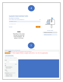

# **VALIDATE YOUR CONTACT INFO**



### Two steps to validate!

Validate your mobile number

Validate your email address

## **NOTE**

Depending on the system, you may not receive the email immediately. Be patient, it will come.



Complete Your Profile to Enroll in a Client Opportunity

This is what the **Network** Platform is all about! Check out the clients waiting for you when you finish signing-up!

Complete Profile <a>Click Complete Profile to complete and be able to view ALL the opportunities



Click 'Learn More' for details on each Opportunity.

| Sort By                                                                                                       |           |
|---------------------------------------------------------------------------------------------------------------|-----------|
| Click for options                                                                                             | $\div$    |
| Filter                                                                                                        | Clear All |
| Type                                                                                                          |           |
| Customer Service/Tech (1)<br>Customer Service/Sales (2)<br>Customer Service (5)                               |           |
| Channel                                                                                                       |           |
| $\Box$ Phone (7)                                                                                              |           |
| Servicing Times (Servicing times are in ET)                                                                   |           |
| $24/7: 12AM - 12AM (1)$<br>Afternoons: 12PM - 6PM (7)<br>Evenings: 6PM - 12AM (6)<br>Mornings: 6AM - 12PM (7) |           |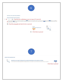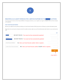

## REGISTER AS AN AGENT WORKING FOR A SERVICE PARTNER ON THE

**PLATFORM** 

If you don't want the extra work and responsibilities of managing a business, you can register as an agent working for a Service Partner already on the platform.

### **Enter Social Security Number**

We know you might be nervous about providing your Social Security Number (SSN). We promise, we'll keep your private information private.

Please Note: You only have two chances to enter the number correctly, make sure your first and last name match what's on your social security card.

|                                                                                                   | Edit |
|---------------------------------------------------------------------------------------------------|------|
| - First Name*<br>DO NOT TOUCH. Your name has been automatically populated                         |      |
| Last Name*<br>DO NOT TOUCH. Your name has been automatically populated                            |      |
| Social Security Number *<br>8A. Enter your Social Security number which is required               |      |
| 8B. Enter your Social Security number AGAIN which is required<br>Confirm Social Security Number * |      |
|                                                                                                   |      |

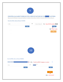

## REGISTER AS AN AGENT WORKING FOR A SERVICE PARTNER ON THE PLATFORM

Please enter the FEIN(Federal Employment Identification Number) or Service Partner ID (IB ID) of the Service Partner you are working for.

### Enter the FEIN or Service Partner ID (IB ID)

| FEIN                                         | OR | Service Partner ID                     | 9A. Enter IB ID number 85608 |
|----------------------------------------------|----|----------------------------------------|------------------------------|
| tard.<br>Verify                              |    |                                        | Verify                       |
|                                              |    |                                        | 9B. Click Verify             |
|                                              |    |                                        | <b>Next</b>                  |
|                                              |    |                                        |                              |
|                                              |    |                                        |                              |
|                                              |    |                                        |                              |
|                                              |    |                                        |                              |
|                                              |    |                                        |                              |
|                                              |    |                                        |                              |
|                                              |    |                                        |                              |
|                                              |    |                                        |                              |
|                                              | 10 |                                        |                              |
|                                              |    |                                        |                              |
|                                              |    |                                        |                              |
|                                              |    |                                        |                              |
| Enter the FEIN or Service Partner ID (IB ID) |    |                                        |                              |
| <b>Business Selected:</b>                    |    | 10A. Verify the IBO Company is correct |                              |
|                                              |    | Service Partner ID                     |                              |
| FEIN                                         | OR |                                        |                              |
|                                              |    |                                        |                              |
| Verify                                       |    |                                        | Verify                       |
|                                              |    |                                        |                              |
|                                              |    |                                        | ${\sf Next}$                 |
|                                              |    |                                        |                              |
|                                              |    |                                        | 10B. Click NEXT              |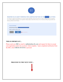

### REGISTER AS AN AGENT WORKING FOR A SERVICE PARTNER ON THE

**PLATFORM** 

Your request to register for the platform as an agent has been submitted to the Service Partner you will be working for. They must approve you in order to finalize registration. If your approval is delayed please contact them directly. You can restart by clicking the grey button and selecting a different Service Partner.

| <b>Request Pending</b>     |                               |  |  |
|----------------------------|-------------------------------|--|--|
| Service Partner Name:      |                               |  |  |
| What would you like to do? |                               |  |  |
| Restart                    | <b>Check</b><br><b>Status</b> |  |  |

# **THIS IS IMPORTANT…**

Please send your IBO an email to mjblack@kas-llc.com and request for them to accept your registration and to let you know when complete. Upon completed notification from the IBO, click CHECK STATUS to proceed.

**PROCEED TO THE NEXT STEP…**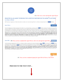

12A. Click view, review and sign the Agent Waiver

Platform

**View & Sign** 

# REGISTER AS AN AGENT WORKING FOR A SERVICE PARTNER ON THE ARISE® PLATFORM

### **Let's Make it Official!**

We'll need your signature on these documents so make sure to read and sign them to continue moving forward on the

#### **Agent Waiver**

The Acknowledgement and Waiver Agreement (the "Waiver") is a contract between a company using the **The Acknowledgement** and each of its agents who are providing services on behalf of the company. The Waiver contains a provision regarding "Arbitration of Claims" as well as a "Class Action Waiver." By signing the Waiver, you are agreeing that you will bring any claims against the company, as well as Arise or any client, in arbitration as opposed to in court. You are also agreeing to bring any such claims on an individual basis only (as opposed to bringing a class action, collective action, or any other type of aggregated action). Arbitrations will be held pursuant to the rules of the American Arbitration Association at one if its many offices throughout the U.S. This summary is general in nature and is not intended to be a comprehensive review of all of the terms of the Acknowledgement and Waiver Agreement. You should thoroughly review and understand the Acknowledgement and Waiver Agreement prior to its execution. AS WITH ANY LEGAL AGREEMENT, ARISE RECOMMENDS THAT YOU OBTAIN THE ADVICE OF A QUALIFIED PROFESSIONAL TO ADDRESS ANY SPECIFIC LEGAL QUESTIONS YOU MAY HAVE. Individuals who are company owners are required to sign the Waiver twice - once as an officer of the company and again as an agent.

# Agent NDA 12B. Once you have completed the Agent Waiver, click view and sign the Agent NDA

The Non-Disclosure Agreement (the "NDA") is a contract in which you agree not to disclose information relating to or the clients on the Platform (including the client's customers) to third parties. Any information that is provided to you by or on behalf of wave or any clients or otherwise in connection with your provision of services using the Platform must be kept confidential and not shared with anyone. This summary is general in nature and is not intended to be a comprehensive review of all of the terms of the Non-Disclosure Agreement. You should thoroughly review and understand the Non-Disclosure Agreement prior to its execution. AS WITH ANY LEGAL AGREEMENT, ARISE RECOMMENDS THAT YOU OBTAIN THE ADVICE OF A QUALIFIED PROFESSIONAL TO ADDRESS ANY SPECIFIC LEGAL QUESTIONS YOU MAY HAVE. Individuals who are company owners are required to sign the Waiver twice once as an officer of the company and again as an agent.

**Next** 

View & Sign

12C. Once you have completed signing the Agent NDA & Waiver, Click NEXT

# **PROCEED TO THE NEXT STEP…**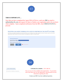

# **THIS IS IMPORTANT…**

Now that you have completed the Agent NDA & Waiver, send your IBO an email to mjblack@kas-llc.com and request for them to finalize your registration and to let you know when complete. Upon completed notification from the IBO, click CHECK STATUS to proceed.

### REGISTER AS AN AGENT WORKING FOR A SERVICE PARTNER ON THE ARISE® PLATFORM

Now that you've signed the paperwork, the Service Partner you're working for just needs to approve and you're ready to pick your first Client Opportunity! Please contact your Service Partner if you experience a delay in moving forward.

| <b>Pending finalization</b>                         |                                                                                                                                                                              |
|-----------------------------------------------------|------------------------------------------------------------------------------------------------------------------------------------------------------------------------------|
| <b>Service Partner Name:</b>                        |                                                                                                                                                                              |
| What would you like to do?                          |                                                                                                                                                                              |
| Check<br>Restart<br><b>Status</b>                   |                                                                                                                                                                              |
|                                                     |                                                                                                                                                                              |
|                                                     |                                                                                                                                                                              |
|                                                     |                                                                                                                                                                              |
|                                                     |                                                                                                                                                                              |
|                                                     | 14                                                                                                                                                                           |
|                                                     |                                                                                                                                                                              |
| <b>CLIENT OPPORTUNITIES</b>                         | <b>CONGRATULATIONS YOU ARE IN</b>                                                                                                                                            |
| Click 'Learn More' for details on each Opportunity. | Now you can view the available client opportunities. To get started,<br>click Learn More and view the Opportunity Announcement for more<br>information regarding the client. |

Contact your IBO if you have additional questions.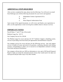# **ADDITIONAL STEPS REQUIRED**

After you have completed the steps, please note the following: You will receive an email from Hellosign.com with the following documents for your review and signature:

- a. Independent Contract Agreement (ICA)
- b. W-9
- c. Direct Deposit Authorization Form

Upon receipt of the signed documents, we will review and finalize your registration to allow you the opportunity to start reviewing the available clients to choose to service.

# **IMPORTANT NOTES**

Payroll Dates: 1<sup>st</sup> and 15<sup>th</sup> day of the month Platform Usage Fee: \$19.75 Our Company Service Fee: \$50.00

The Platform usage fee covers and pays for 24/7 Technical Support, scheduling system, services of providing work from home job opportunities and distribution of payroll.

Our company service fee covers and pays for the following services: time and support service to handle all issues and answer all questions, continuing education and training sessions, correspondence to allow you to succeed as an independent contractor working from home and payroll distribution.

Our company will provide you 1099 tax information to view and a CSP Payroll Financial Report to help you notate the estimated amount of taxes that would need to be taken out each payroll and put aside to pay every three months.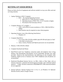# **SETTING UP YOUR OFFICE**

Please see below the list of equipment and software needed to set up your office and start servicing remotely.

- 1. Laptop, Desktop or MAC Computer:
	- 1. MAC the required Operating Systems
		- a. Intel core i5 2.7 GHz processor or better
		- b. Operating System of MAC OS x 10.10 Yosemite or higher.
		- c. Download of the bootcamp software
- 2. Computer Monitor (15" or higher...)
	- 1. 1280 x 1024 (SXGA) screen resolution or 1920 x 1080 (Full HD or 1080p).
	- 2. Dual monitors may be required on some client programs.
- 3. Operating Systems: (one of the following listed below)
	- 1. Windows 10
- 4. Computer Hard Drive:
	- 1. 2.8 or more GHz (20 GB available space/60 GB total space) or Intel i class dual core processor
	- 2. Atom, Celeron, Pentium and Opteron processors are not permitted.
- 5. Memory: 4 GB of RAM or Better
- 6. Computer Keyboard and Mouse
- 7. Hard-Wired Land Line Telephone connection (plain old telephone line) w/long distance and international long-distance service (preferably through your cable provider). Based on the client preference, the following are also excepted: cable telephony, digital service or business class VOIP. Softphones and cell phones are not permitted.
- 8. Hardwired Broadband Internet Service via DSL, Cable or Fiber Optic with an internet connection: minimum download speed of 10 mbps and a minimum upload speed of 3 mbps. Wireless connection is PROHIBITED. USB connected modems are not supported.
- 9. Internet Software: Internet Explorer 8.0, 9, 10 or 11, on Windows 10. Optional: Mozilla (Firefox) and/or Google Chrome.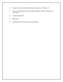- 10. Computer Protection: Microsoft Security Essentials for Windows 10.
- 11. Noise cancelling headset with microphone (Brands: Logitech, Plantronics or Microsoft)
- 12. Computer Desk/Chair
- 13. Office space
- 14. Combination Dry Erase Board w/Cork (optional)